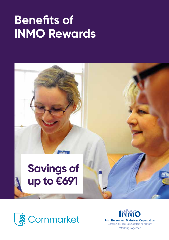## **Benefits of INMO Rewards**





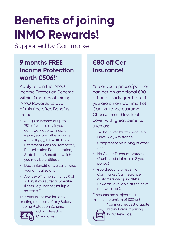# **Benefits of joining INMO Rewards!**

Supported by Cornmarket

## **9 months FREE Income Protection worth €506!\***

Apply to join the INMO Income Protection Scheme within 3 months of joining INMO Rewards to avail of this free offer. Benefits include:

- A regular income of up to 75% of your salary if you can't work due to illness or injury (less any other income e.g. half pay, Ill Health Early Retirement Pension, Temporary Rehabilitation Remuneration, State Illness Benefit to which you may be entitled).
- Death Benefit of typically twice your annual salary.
- A once-off lump sum of 25% of salary if you suffer a 'Specified Illness', e.g. cancer, multiple sclerosis.\*\*

This offer is not available to existing members of any Salary/ Income Protection Scheme



administered by Cornmarket.

## **€80 off Car Insurance!**

You or your spouse/partner can get an additional €80 off an already great rate if you are a new Cornmarket Car Insurance customer. Choose from 3 levels of cover with great benefits such as:

- 24-hour Breakdown Rescue & Drive-way Assistance
- Comprehensive driving of other cars
- No Claims Discount protection (2 unlimited claims in a 3 year period)
- €50 discount for existing Cornmarket Car Insurance customers who join INMO Rewards (available at the next renewal date).

Discounts are subject to a minimum premium of €334.65.



You must request a quote within 1 year of joining INMO Rewards.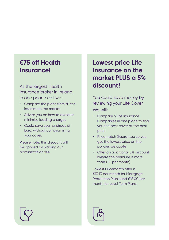### **€75 off Health Insurance!**

As the largest Health Insurance broker in Ireland, in one phone call we:

- Compare the plans from all the insurers on the market
- Advise you on how to avoid or minimise loading charges
- Could save you hundreds of Euro, without compromising your cover.

Please note: this discount will be applied by waiving our administration fee.

## **Lowest price Life Insurance on the market PLUS a 5% discount!**

You could save money by reviewing your Life Cover. We will:

- Compare 6 Life Insurance Companies in one place to find you the best cover at the best price
- Pricematch Guarantee so you get the lowest price on the policies we quote
- Offer an additional 5% discount (where the premium is more than €15 per month).

Lowest Pricematch offer is €13.13 per month for Mortgage Protection Plans and €15.00 per month for Level Term Plans.

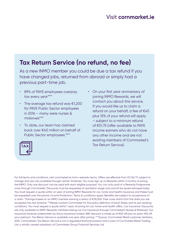#### Visit **cornmarket.ie**

#### **Tax Return Service (no refund, no fee)**

As a new INMO member you could be due a tax refund if you have changed jobs, returned from abroad or simply had a previous part-time job.

- 89% of PAYE employees overpay tax every year\*\*\*
- The average tax refund was €1,200 for PAYE Public Sector employees in 2016 – many were nurses & midwives\*\*\*
- To date, our team has claimed back over €40 million on behalf of Public Sector employees.\*\*\*
- On your first year anniversary of joining INMO Rewards, we will contact you about this service. If you would like us to claim a refund on your behalf, a fee of €45 plus 15% of your refund will apply – subject to a minimum refund of €51.75 (offer available to PAYE income earners who do not have any other income and are not existing members of Cornmarket's Tax Return Service).



For full terms and conditions, visit cornmarket.ie/inmo-rewards-terms. Offers are effective from 01/06/17, subject to change and are only available through certain Schemes. You must sign up to Rewards within 3 months of joining the INMO. Only one discount can be used with each eligible proposal. You can only avail of a Rewards Programme once through Cornmarket. Discounts must be requested at quotation stage and cannot be issued retrospectively. You must request a quote within on year of joining INMO Rewards for car, home and health insurance and these must be requested over the phone. Income Protection: Terms & conditions apply. Benefits are subject to acceptance of a claim. \*Savings based on an INMO member earning a salary of €35,000. Free cover starts from the date you are accepted into the Scheme. \*\*Please contact Cornmarket for the policy definition of each illness and its pre-existing conditions. You must request a quote within 1 year of joining for car, home and health offers. Car Insurance: Discounts are only available to INMO Rewards members taking out Car Insurance through Cornmarket's Nurses & Midwives' Car Insurance Scheme underwritten by Aviva Insurance Limited. €80 discount is made up of €50 off plus an extra 10% off your premium. Tax Return Service is available one year after joining. \*\*\*Source: Cornmarket Retail customer statistics, 2016. Cornmarket's Tax Return Service is not a regulated financial product and is part of Cornmarket Retail Trading Ltd, a wholly-owned subsidiary of Cornmarket Group Financial Services Ltd.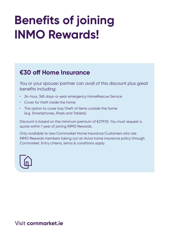## **Benefits of joining INMO Rewards!**

### **€30 off Home Insurance**

You or your spouse/partner can avail of this discount plus great benefits including:

- 24-hour, 365 days-a-year emergency HomeRescue Service
- Cover for theft inside the home
- The option to cover loss/theft of items outside the home (e.g. Smartphones, iPads and Tablets)

Discount is based on the minimum premium of €279.92. You must request a quote within 1 year of joining INMO Rewards.

Only available to new Cornmarket Home Insurance Customers who are INMO Rewards members taking out an Aviva home insurance policy through Cornmarket. Entry criteria, terms & conditions apply.



#### Visit **cornmarket.ie**